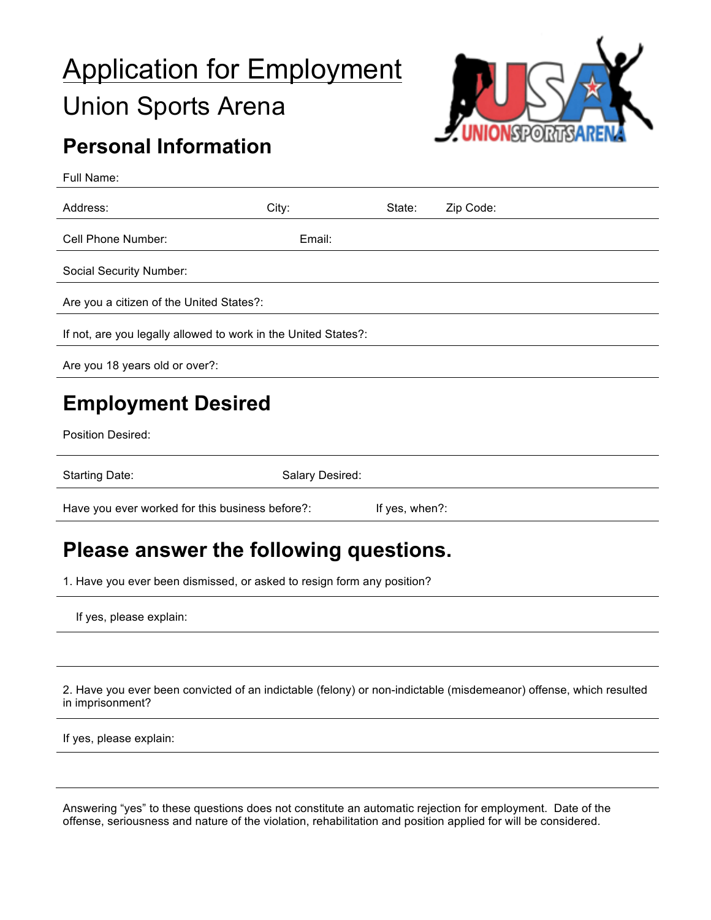# Application for Employment Union Sports Arena



## **Personal Information**

| Full Name:                                                     |        |        |           |  |  |
|----------------------------------------------------------------|--------|--------|-----------|--|--|
| Address:                                                       | City:  | State: | Zip Code: |  |  |
| Cell Phone Number:                                             | Email: |        |           |  |  |
| Social Security Number:                                        |        |        |           |  |  |
| Are you a citizen of the United States?:                       |        |        |           |  |  |
| If not, are you legally allowed to work in the United States?: |        |        |           |  |  |
| Are you 18 years old or over?:                                 |        |        |           |  |  |
| <b>Employment Desired</b>                                      |        |        |           |  |  |

Position Desired:

Starting Date: Starting Date: Salary Desired:

Have you ever worked for this business before?: If yes, when?:

### **Please answer the following questions.**

1. Have you ever been dismissed, or asked to resign form any position?

If yes, please explain:

2. Have you ever been convicted of an indictable (felony) or non-indictable (misdemeanor) offense, which resulted in imprisonment?

If yes, please explain:

Answering "yes" to these questions does not constitute an automatic rejection for employment. Date of the offense, seriousness and nature of the violation, rehabilitation and position applied for will be considered.